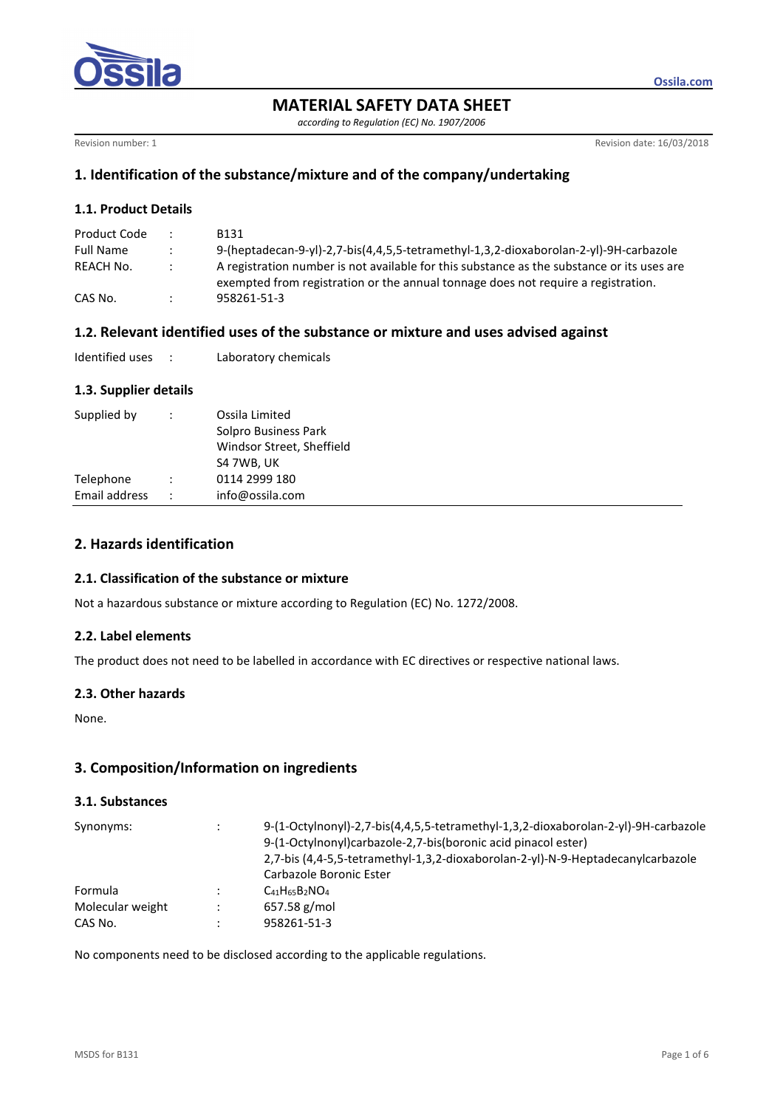

*according to Regulation (EC) No. 1907/2006* 

Revision number: 1 Revision date: 16/03/2018

**Ossila.com**

## **1. Identification of the substance/mixture and of the company/undertaking**

## **1.1. Product Details**

| Product Code     | $\mathbb{R}^{\mathbb{Z}}$ | <b>B131</b>                                                                                                                                                                     |
|------------------|---------------------------|---------------------------------------------------------------------------------------------------------------------------------------------------------------------------------|
| <b>Full Name</b> | $\mathbf{r}$              | 9-(heptadecan-9-yl)-2,7-bis(4,4,5,5-tetramethyl-1,3,2-dioxaborolan-2-yl)-9H-carbazole                                                                                           |
| REACH No.        | $\mathcal{L}$             | A registration number is not available for this substance as the substance or its uses are<br>exempted from registration or the annual tonnage does not require a registration. |
| CAS No.          |                           | 958261-51-3                                                                                                                                                                     |

## **1.2. Relevant identified uses of the substance or mixture and uses advised against**

| Identified uses |  | Laboratory chemicals |
|-----------------|--|----------------------|
|-----------------|--|----------------------|

## **1.3. Supplier details**

| Telephone<br>0114 2999 180<br>Email address<br>info@ossila.com<br>$\ddot{\phantom{0}}$ | Supplied by | Ossila Limited<br>Solpro Business Park<br>Windsor Street, Sheffield<br>S4 7WB, UK |
|----------------------------------------------------------------------------------------|-------------|-----------------------------------------------------------------------------------|
|                                                                                        |             |                                                                                   |
|                                                                                        |             |                                                                                   |

## **2. Hazards identification**

### **2.1. Classification of the substance or mixture**

Not a hazardous substance or mixture according to Regulation (EC) No. 1272/2008.

### **2.2. Label elements**

The product does not need to be labelled in accordance with EC directives or respective national laws.

### **2.3. Other hazards**

None.

## **3. Composition/Information on ingredients**

### **3.1. Substances**

| Synonyms:        |    | 9-(1-Octylnonyl)-2,7-bis(4,4,5,5-tetramethyl-1,3,2-dioxaborolan-2-yl)-9H-carbazole<br>9-(1-Octylnonyl)carbazole-2,7-bis(boronic acid pinacol ester)<br>2,7-bis (4,4-5,5-tetramethyl-1,3,2-dioxaborolan-2-yl)-N-9-Heptadecanylcarbazole<br>Carbazole Boronic Ester |
|------------------|----|-------------------------------------------------------------------------------------------------------------------------------------------------------------------------------------------------------------------------------------------------------------------|
| Formula          |    | $C_{41}H_{65}B_2NO_4$                                                                                                                                                                                                                                             |
| Molecular weight | ٠. | $657.58$ g/mol                                                                                                                                                                                                                                                    |
| CAS No.          |    | 958261-51-3                                                                                                                                                                                                                                                       |

No components need to be disclosed according to the applicable regulations.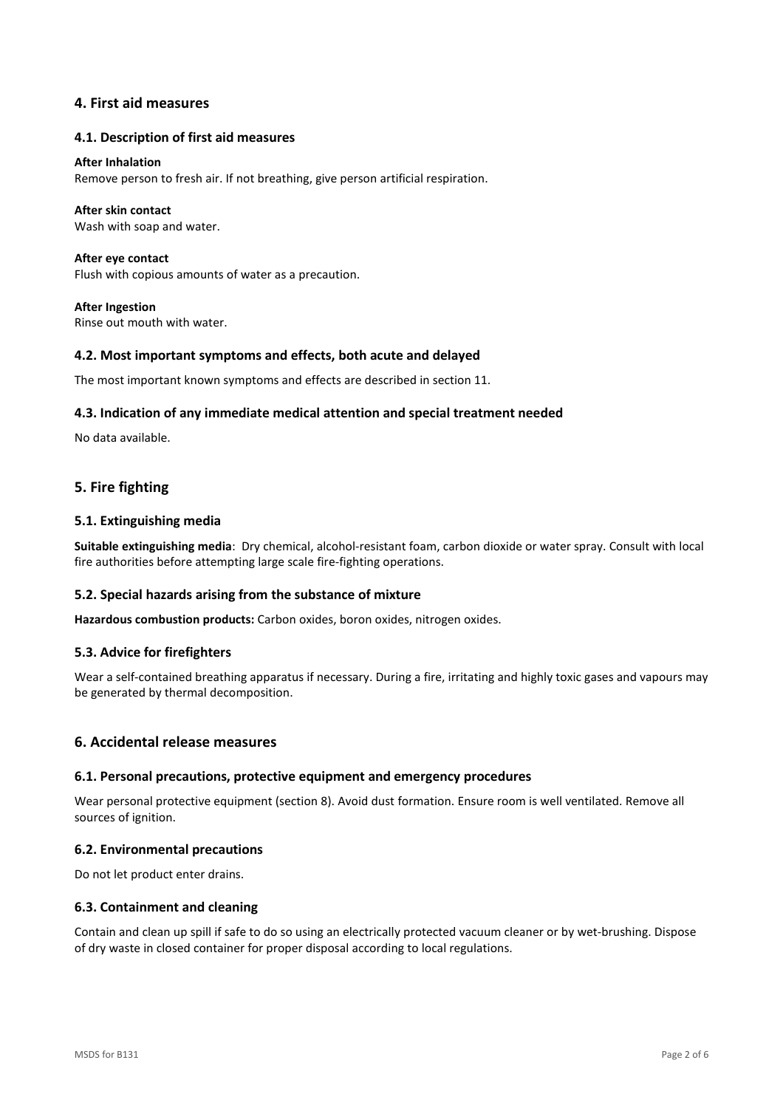## **4. First aid measures**

#### **4.1. Description of first aid measures**

#### **After Inhalation**

Remove person to fresh air. If not breathing, give person artificial respiration.

#### **After skin contact**

Wash with soap and water.

**After eye contact**  Flush with copious amounts of water as a precaution.

**After Ingestion**  Rinse out mouth with water.

### **4.2. Most important symptoms and effects, both acute and delayed**

The most important known symptoms and effects are described in section 11.

### **4.3. Indication of any immediate medical attention and special treatment needed**

No data available.

## **5. Fire fighting**

### **5.1. Extinguishing media**

**Suitable extinguishing media**: Dry chemical, alcohol-resistant foam, carbon dioxide or water spray. Consult with local fire authorities before attempting large scale fire-fighting operations.

### **5.2. Special hazards arising from the substance of mixture**

**Hazardous combustion products:** Carbon oxides, boron oxides, nitrogen oxides.

### **5.3. Advice for firefighters**

Wear a self-contained breathing apparatus if necessary. During a fire, irritating and highly toxic gases and vapours may be generated by thermal decomposition.

### **6. Accidental release measures**

### **6.1. Personal precautions, protective equipment and emergency procedures**

Wear personal protective equipment (section 8). Avoid dust formation. Ensure room is well ventilated. Remove all sources of ignition.

### **6.2. Environmental precautions**

Do not let product enter drains.

### **6.3. Containment and cleaning**

Contain and clean up spill if safe to do so using an electrically protected vacuum cleaner or by wet-brushing. Dispose of dry waste in closed container for proper disposal according to local regulations.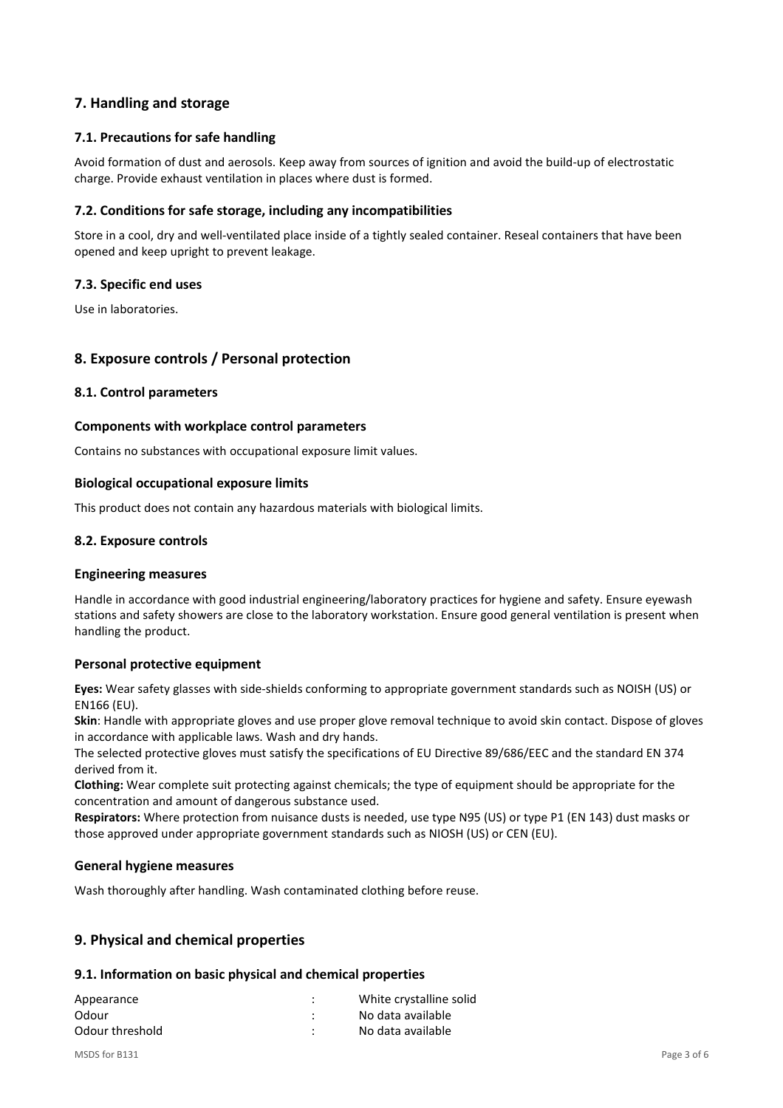## **7. Handling and storage**

### **7.1. Precautions for safe handling**

Avoid formation of dust and aerosols. Keep away from sources of ignition and avoid the build-up of electrostatic charge. Provide exhaust ventilation in places where dust is formed.

### **7.2. Conditions for safe storage, including any incompatibilities**

Store in a cool, dry and well-ventilated place inside of a tightly sealed container. Reseal containers that have been opened and keep upright to prevent leakage.

### **7.3. Specific end uses**

Use in laboratories.

## **8. Exposure controls / Personal protection**

### **8.1. Control parameters**

### **Components with workplace control parameters**

Contains no substances with occupational exposure limit values.

### **Biological occupational exposure limits**

This product does not contain any hazardous materials with biological limits.

### **8.2. Exposure controls**

### **Engineering measures**

Handle in accordance with good industrial engineering/laboratory practices for hygiene and safety. Ensure eyewash stations and safety showers are close to the laboratory workstation. Ensure good general ventilation is present when handling the product.

### **Personal protective equipment**

**Eyes:** Wear safety glasses with side-shields conforming to appropriate government standards such as NOISH (US) or EN166 (EU).

**Skin**: Handle with appropriate gloves and use proper glove removal technique to avoid skin contact. Dispose of gloves in accordance with applicable laws. Wash and dry hands.

The selected protective gloves must satisfy the specifications of EU Directive 89/686/EEC and the standard EN 374 derived from it.

**Clothing:** Wear complete suit protecting against chemicals; the type of equipment should be appropriate for the concentration and amount of dangerous substance used.

**Respirators:** Where protection from nuisance dusts is needed, use type N95 (US) or type P1 (EN 143) dust masks or those approved under appropriate government standards such as NIOSH (US) or CEN (EU).

### **General hygiene measures**

Wash thoroughly after handling. Wash contaminated clothing before reuse.

## **9. Physical and chemical properties**

### **9.1. Information on basic physical and chemical properties**

| Appearance      | ٠<br>٠ | White crystalline solid |
|-----------------|--------|-------------------------|
| Odour           | ٠      | No data available       |
| Odour threshold | ٠      | No data available       |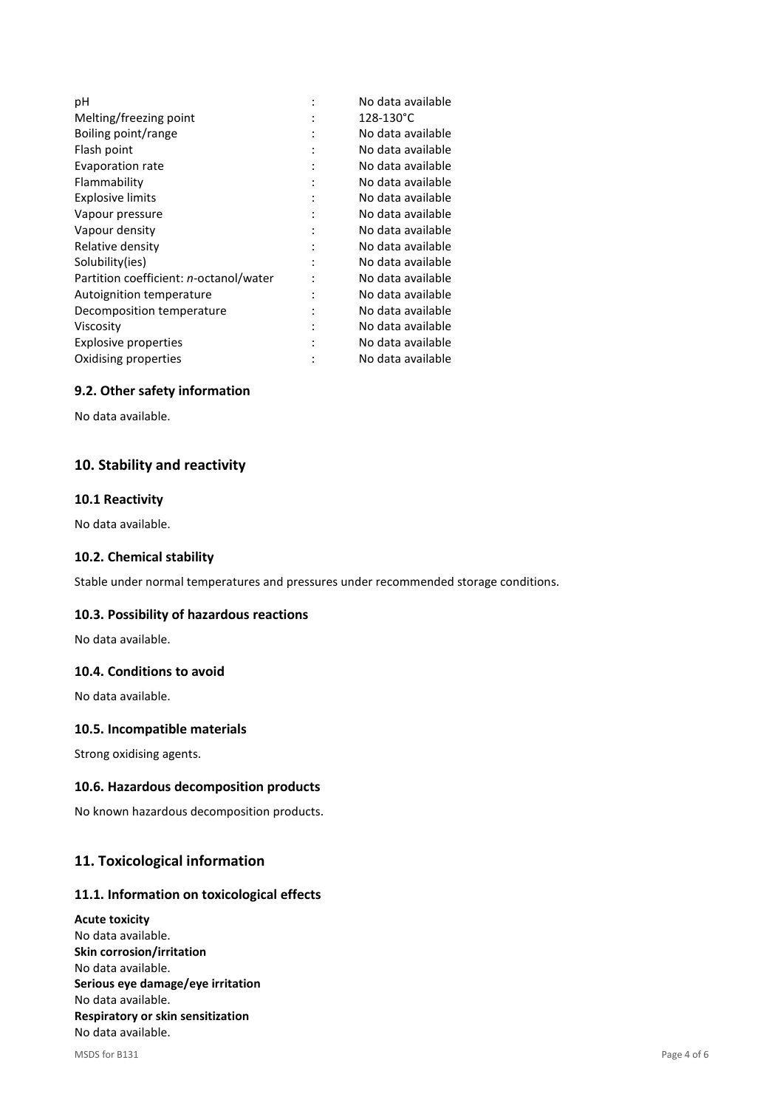| рH                                     |   | No data available |
|----------------------------------------|---|-------------------|
| Melting/freezing point                 |   | 128-130°C         |
| Boiling point/range                    |   | No data available |
| Flash point                            |   | No data available |
| Evaporation rate                       |   | No data available |
| Flammability                           |   | No data available |
| <b>Explosive limits</b>                |   | No data available |
| Vapour pressure                        |   | No data available |
| Vapour density                         |   | No data available |
| Relative density                       |   | No data available |
| Solubility(ies)                        |   | No data available |
| Partition coefficient: n-octanol/water |   | No data available |
| Autoignition temperature               | ٠ | No data available |
| Decomposition temperature              |   | No data available |
| Viscositv                              |   | No data available |
| <b>Explosive properties</b>            |   | No data available |
| Oxidising properties                   |   | No data available |
|                                        |   |                   |

### **9.2. Other safety information**

No data available.

## **10. Stability and reactivity**

### **10.1 Reactivity**

No data available.

### **10.2. Chemical stability**

Stable under normal temperatures and pressures under recommended storage conditions.

### **10.3. Possibility of hazardous reactions**

No data available.

### **10.4. Conditions to avoid**

No data available.

### **10.5. Incompatible materials**

Strong oxidising agents.

### **10.6. Hazardous decomposition products**

No known hazardous decomposition products.

## **11. Toxicological information**

### **11.1. Information on toxicological effects**

**Acute toxicity**  No data available. **Skin corrosion/irritation**  No data available. **Serious eye damage/eye irritation**  No data available. **Respiratory or skin sensitization**  No data available.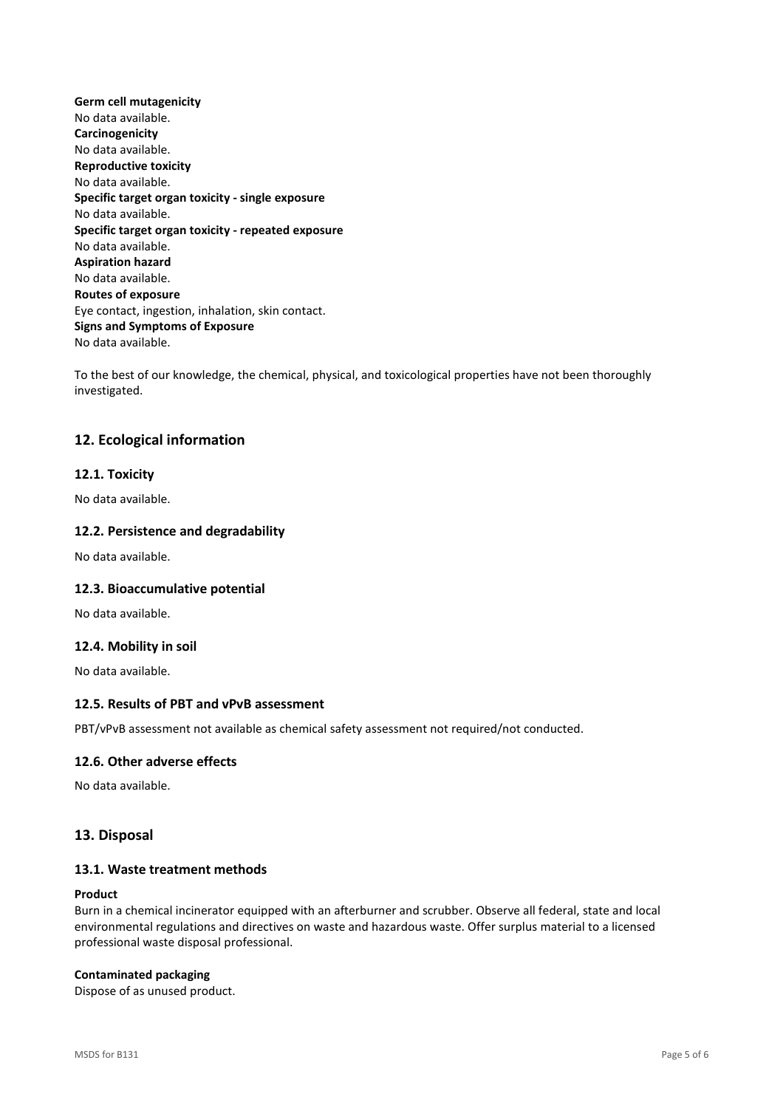**Germ cell mutagenicity**  No data available. **Carcinogenicity**  No data available. **Reproductive toxicity**  No data available. **Specific target organ toxicity - single exposure**  No data available. **Specific target organ toxicity - repeated exposure**  No data available. **Aspiration hazard**  No data available. **Routes of exposure**  Eye contact, ingestion, inhalation, skin contact. **Signs and Symptoms of Exposure**  No data available.

To the best of our knowledge, the chemical, physical, and toxicological properties have not been thoroughly investigated.

## **12. Ecological information**

### **12.1. Toxicity**

No data available.

### **12.2. Persistence and degradability**

No data available.

### **12.3. Bioaccumulative potential**

No data available.

#### **12.4. Mobility in soil**

No data available.

## **12.5. Results of PBT and vPvB assessment**

PBT/vPvB assessment not available as chemical safety assessment not required/not conducted.

### **12.6. Other adverse effects**

No data available.

### **13. Disposal**

### **13.1. Waste treatment methods**

#### **Product**

Burn in a chemical incinerator equipped with an afterburner and scrubber. Observe all federal, state and local environmental regulations and directives on waste and hazardous waste. Offer surplus material to a licensed professional waste disposal professional.

#### **Contaminated packaging**

Dispose of as unused product.